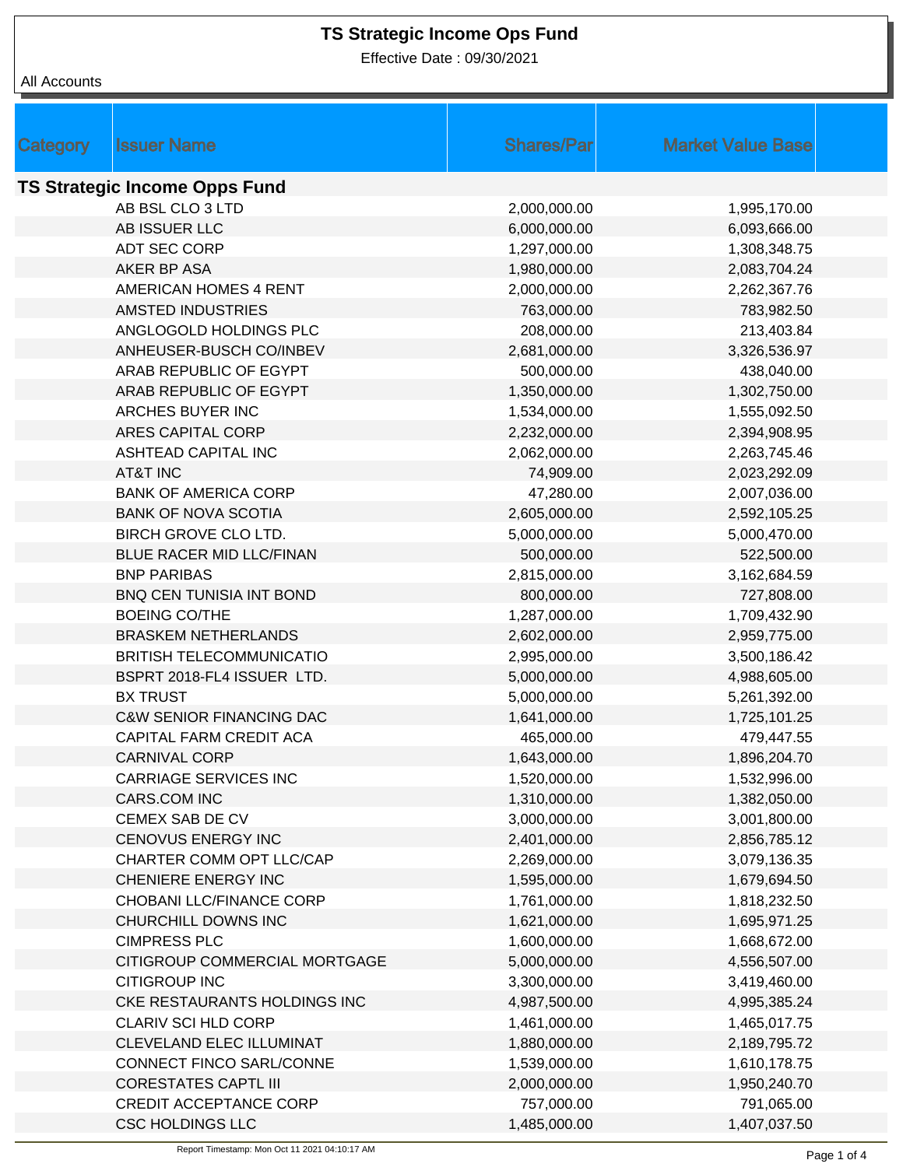Effective Date : 09/30/2021

|                                      | <b>Issuer Name</b>                  | <b>Shares/Par</b> | <b>Market Value Base</b> |  |  |  |
|--------------------------------------|-------------------------------------|-------------------|--------------------------|--|--|--|
| <b>Category</b>                      |                                     |                   |                          |  |  |  |
| <b>TS Strategic Income Opps Fund</b> |                                     |                   |                          |  |  |  |
|                                      | AB BSL CLO 3 LTD                    | 2,000,000.00      | 1,995,170.00             |  |  |  |
|                                      | AB ISSUER LLC                       | 6,000,000.00      | 6,093,666.00             |  |  |  |
|                                      | <b>ADT SEC CORP</b>                 | 1,297,000.00      | 1,308,348.75             |  |  |  |
|                                      | AKER BP ASA                         | 1,980,000.00      | 2,083,704.24             |  |  |  |
|                                      | <b>AMERICAN HOMES 4 RENT</b>        | 2,000,000.00      | 2,262,367.76             |  |  |  |
|                                      | <b>AMSTED INDUSTRIES</b>            | 763,000.00        | 783,982.50               |  |  |  |
|                                      | ANGLOGOLD HOLDINGS PLC              | 208,000.00        | 213,403.84               |  |  |  |
|                                      | ANHEUSER-BUSCH CO/INBEV             | 2,681,000.00      | 3,326,536.97             |  |  |  |
|                                      | ARAB REPUBLIC OF EGYPT              | 500,000.00        | 438,040.00               |  |  |  |
|                                      | ARAB REPUBLIC OF EGYPT              | 1,350,000.00      | 1,302,750.00             |  |  |  |
|                                      | ARCHES BUYER INC                    | 1,534,000.00      | 1,555,092.50             |  |  |  |
|                                      | ARES CAPITAL CORP                   | 2,232,000.00      | 2,394,908.95             |  |  |  |
|                                      | <b>ASHTEAD CAPITAL INC</b>          | 2,062,000.00      | 2,263,745.46             |  |  |  |
|                                      | <b>AT&amp;T INC</b>                 | 74,909.00         | 2,023,292.09             |  |  |  |
|                                      | <b>BANK OF AMERICA CORP</b>         | 47,280.00         | 2,007,036.00             |  |  |  |
|                                      | <b>BANK OF NOVA SCOTIA</b>          | 2,605,000.00      | 2,592,105.25             |  |  |  |
|                                      | BIRCH GROVE CLO LTD.                | 5,000,000.00      | 5,000,470.00             |  |  |  |
|                                      | BLUE RACER MID LLC/FINAN            | 500,000.00        | 522,500.00               |  |  |  |
|                                      | <b>BNP PARIBAS</b>                  | 2,815,000.00      | 3,162,684.59             |  |  |  |
|                                      | <b>BNQ CEN TUNISIA INT BOND</b>     | 800,000.00        | 727,808.00               |  |  |  |
|                                      | <b>BOEING CO/THE</b>                | 1,287,000.00      | 1,709,432.90             |  |  |  |
|                                      | <b>BRASKEM NETHERLANDS</b>          | 2,602,000.00      | 2,959,775.00             |  |  |  |
|                                      | <b>BRITISH TELECOMMUNICATIO</b>     | 2,995,000.00      | 3,500,186.42             |  |  |  |
|                                      | BSPRT 2018-FL4 ISSUER LTD.          | 5,000,000.00      | 4,988,605.00             |  |  |  |
|                                      | <b>BX TRUST</b>                     | 5,000,000.00      | 5,261,392.00             |  |  |  |
|                                      | <b>C&amp;W SENIOR FINANCING DAC</b> | 1,641,000.00      | 1,725,101.25             |  |  |  |
|                                      | CAPITAL FARM CREDIT ACA             | 465,000.00        | 479,447.55               |  |  |  |
|                                      | <b>CARNIVAL CORP</b>                | 1,643,000.00      | 1,896,204.70             |  |  |  |
|                                      | <b>CARRIAGE SERVICES INC</b>        | 1,520,000.00      | 1,532,996.00             |  |  |  |
|                                      | CARS.COM INC                        | 1,310,000.00      | 1,382,050.00             |  |  |  |
|                                      | CEMEX SAB DE CV                     | 3,000,000.00      | 3,001,800.00             |  |  |  |
|                                      | CENOVUS ENERGY INC                  | 2,401,000.00      | 2,856,785.12             |  |  |  |
|                                      | CHARTER COMM OPT LLC/CAP            | 2,269,000.00      | 3,079,136.35             |  |  |  |
|                                      | CHENIERE ENERGY INC                 | 1,595,000.00      | 1,679,694.50             |  |  |  |
|                                      | CHOBANI LLC/FINANCE CORP            | 1,761,000.00      | 1,818,232.50             |  |  |  |
|                                      | CHURCHILL DOWNS INC                 | 1,621,000.00      | 1,695,971.25             |  |  |  |
|                                      | <b>CIMPRESS PLC</b>                 | 1,600,000.00      | 1,668,672.00             |  |  |  |
|                                      | CITIGROUP COMMERCIAL MORTGAGE       | 5,000,000.00      | 4,556,507.00             |  |  |  |
|                                      | <b>CITIGROUP INC</b>                | 3,300,000.00      | 3,419,460.00             |  |  |  |
|                                      | CKE RESTAURANTS HOLDINGS INC        | 4,987,500.00      | 4,995,385.24             |  |  |  |
|                                      | CLARIV SCI HLD CORP                 | 1,461,000.00      | 1,465,017.75             |  |  |  |
|                                      | CLEVELAND ELEC ILLUMINAT            | 1,880,000.00      | 2,189,795.72             |  |  |  |
|                                      | CONNECT FINCO SARL/CONNE            | 1,539,000.00      | 1,610,178.75             |  |  |  |
|                                      | <b>CORESTATES CAPTL III</b>         | 2,000,000.00      | 1,950,240.70             |  |  |  |
|                                      | <b>CREDIT ACCEPTANCE CORP</b>       | 757,000.00        | 791,065.00               |  |  |  |
|                                      | <b>CSC HOLDINGS LLC</b>             | 1,485,000.00      | 1,407,037.50             |  |  |  |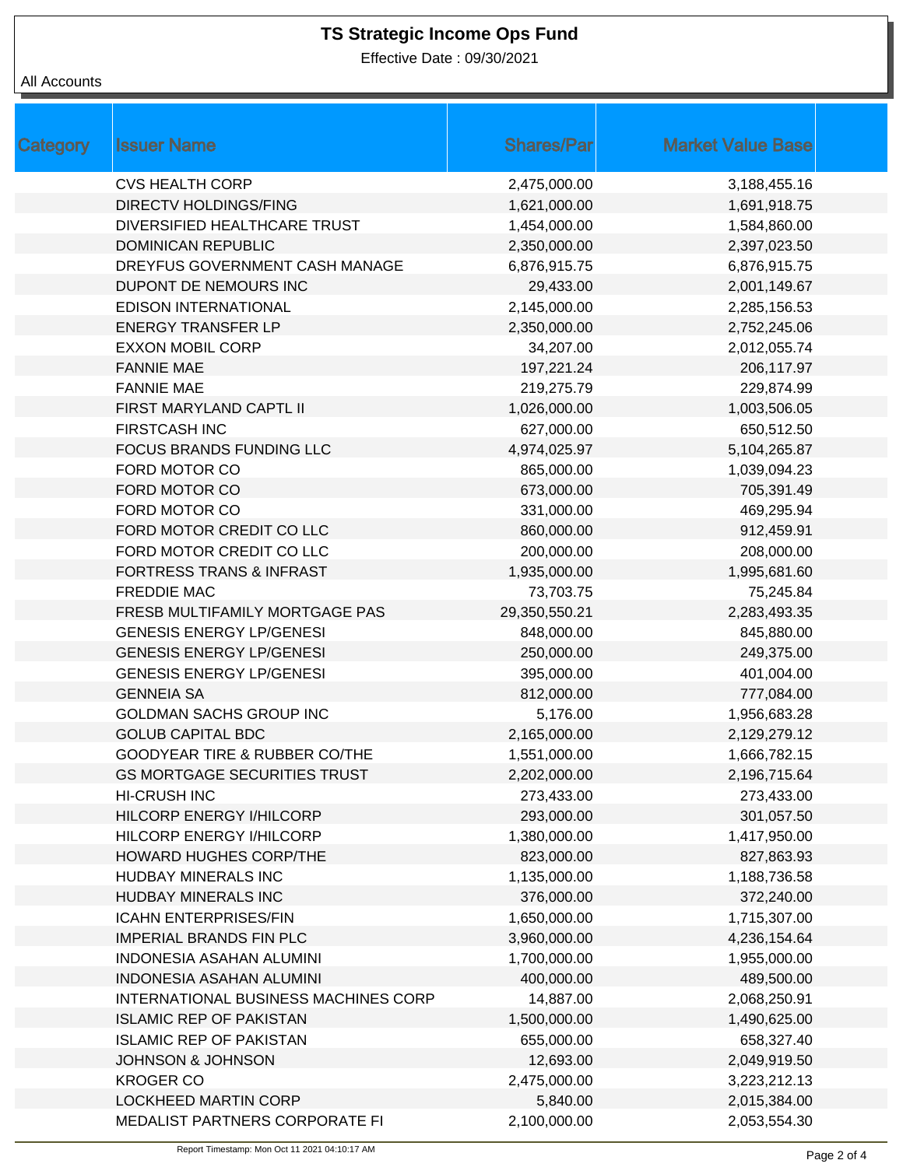Effective Date : 09/30/2021

| <b>Category</b> | <b>Issuer Name</b>                       | <b>Shares/Par</b> | <b>Market Value Base</b> |
|-----------------|------------------------------------------|-------------------|--------------------------|
|                 | <b>CVS HEALTH CORP</b>                   | 2,475,000.00      | 3,188,455.16             |
|                 | <b>DIRECTV HOLDINGS/FING</b>             | 1,621,000.00      | 1,691,918.75             |
|                 | DIVERSIFIED HEALTHCARE TRUST             | 1,454,000.00      | 1,584,860.00             |
|                 | <b>DOMINICAN REPUBLIC</b>                | 2,350,000.00      | 2,397,023.50             |
|                 | DREYFUS GOVERNMENT CASH MANAGE           | 6,876,915.75      | 6,876,915.75             |
|                 | DUPONT DE NEMOURS INC                    | 29,433.00         | 2,001,149.67             |
|                 | <b>EDISON INTERNATIONAL</b>              | 2,145,000.00      | 2,285,156.53             |
|                 | <b>ENERGY TRANSFER LP</b>                | 2,350,000.00      | 2,752,245.06             |
|                 | <b>EXXON MOBIL CORP</b>                  | 34,207.00         | 2,012,055.74             |
|                 | <b>FANNIE MAE</b>                        | 197,221.24        | 206,117.97               |
|                 | <b>FANNIE MAE</b>                        | 219,275.79        | 229,874.99               |
|                 | FIRST MARYLAND CAPTL II                  | 1,026,000.00      | 1,003,506.05             |
|                 | <b>FIRSTCASH INC</b>                     | 627,000.00        | 650,512.50               |
|                 | <b>FOCUS BRANDS FUNDING LLC</b>          | 4,974,025.97      | 5,104,265.87             |
|                 | FORD MOTOR CO                            | 865,000.00        | 1,039,094.23             |
|                 | FORD MOTOR CO                            | 673,000.00        | 705,391.49               |
|                 | FORD MOTOR CO                            | 331,000.00        | 469,295.94               |
|                 | FORD MOTOR CREDIT CO LLC                 | 860,000.00        | 912,459.91               |
|                 | FORD MOTOR CREDIT CO LLC                 | 200,000.00        | 208,000.00               |
|                 | <b>FORTRESS TRANS &amp; INFRAST</b>      | 1,935,000.00      | 1,995,681.60             |
|                 | <b>FREDDIE MAC</b>                       | 73,703.75         | 75,245.84                |
|                 | FRESB MULTIFAMILY MORTGAGE PAS           | 29,350,550.21     | 2,283,493.35             |
|                 | <b>GENESIS ENERGY LP/GENESI</b>          | 848,000.00        | 845,880.00               |
|                 | <b>GENESIS ENERGY LP/GENESI</b>          | 250,000.00        | 249,375.00               |
|                 | <b>GENESIS ENERGY LP/GENESI</b>          | 395,000.00        | 401,004.00               |
|                 | <b>GENNEIA SA</b>                        | 812,000.00        | 777,084.00               |
|                 | <b>GOLDMAN SACHS GROUP INC</b>           | 5,176.00          | 1,956,683.28             |
|                 | <b>GOLUB CAPITAL BDC</b>                 | 2,165,000.00      | 2,129,279.12             |
|                 | <b>GOODYEAR TIRE &amp; RUBBER CO/THE</b> | 1,551,000.00      | 1,666,782.15             |
|                 | <b>GS MORTGAGE SECURITIES TRUST</b>      | 2,202,000.00      | 2,196,715.64             |
|                 | <b>HI-CRUSH INC</b>                      | 273,433.00        | 273,433.00               |
|                 | HILCORP ENERGY I/HILCORP                 | 293,000.00        | 301,057.50               |
|                 | HILCORP ENERGY I/HILCORP                 | 1,380,000.00      | 1,417,950.00             |
|                 | <b>HOWARD HUGHES CORP/THE</b>            | 823,000.00        | 827,863.93               |
|                 | HUDBAY MINERALS INC                      | 1,135,000.00      | 1,188,736.58             |
|                 | HUDBAY MINERALS INC                      | 376,000.00        | 372,240.00               |
|                 | <b>ICAHN ENTERPRISES/FIN</b>             | 1,650,000.00      | 1,715,307.00             |
|                 | <b>IMPERIAL BRANDS FIN PLC</b>           | 3,960,000.00      | 4,236,154.64             |
|                 | <b>INDONESIA ASAHAN ALUMINI</b>          | 1,700,000.00      | 1,955,000.00             |
|                 | <b>INDONESIA ASAHAN ALUMINI</b>          | 400,000.00        | 489,500.00               |
|                 | INTERNATIONAL BUSINESS MACHINES CORP     | 14,887.00         | 2,068,250.91             |
|                 | <b>ISLAMIC REP OF PAKISTAN</b>           | 1,500,000.00      | 1,490,625.00             |
|                 | <b>ISLAMIC REP OF PAKISTAN</b>           | 655,000.00        | 658,327.40               |
|                 | <b>JOHNSON &amp; JOHNSON</b>             | 12,693.00         | 2,049,919.50             |
|                 | <b>KROGER CO</b>                         | 2,475,000.00      | 3,223,212.13             |
|                 | <b>LOCKHEED MARTIN CORP</b>              | 5,840.00          | 2,015,384.00             |
|                 | MEDALIST PARTNERS CORPORATE FI           | 2,100,000.00      | 2,053,554.30             |
|                 |                                          |                   |                          |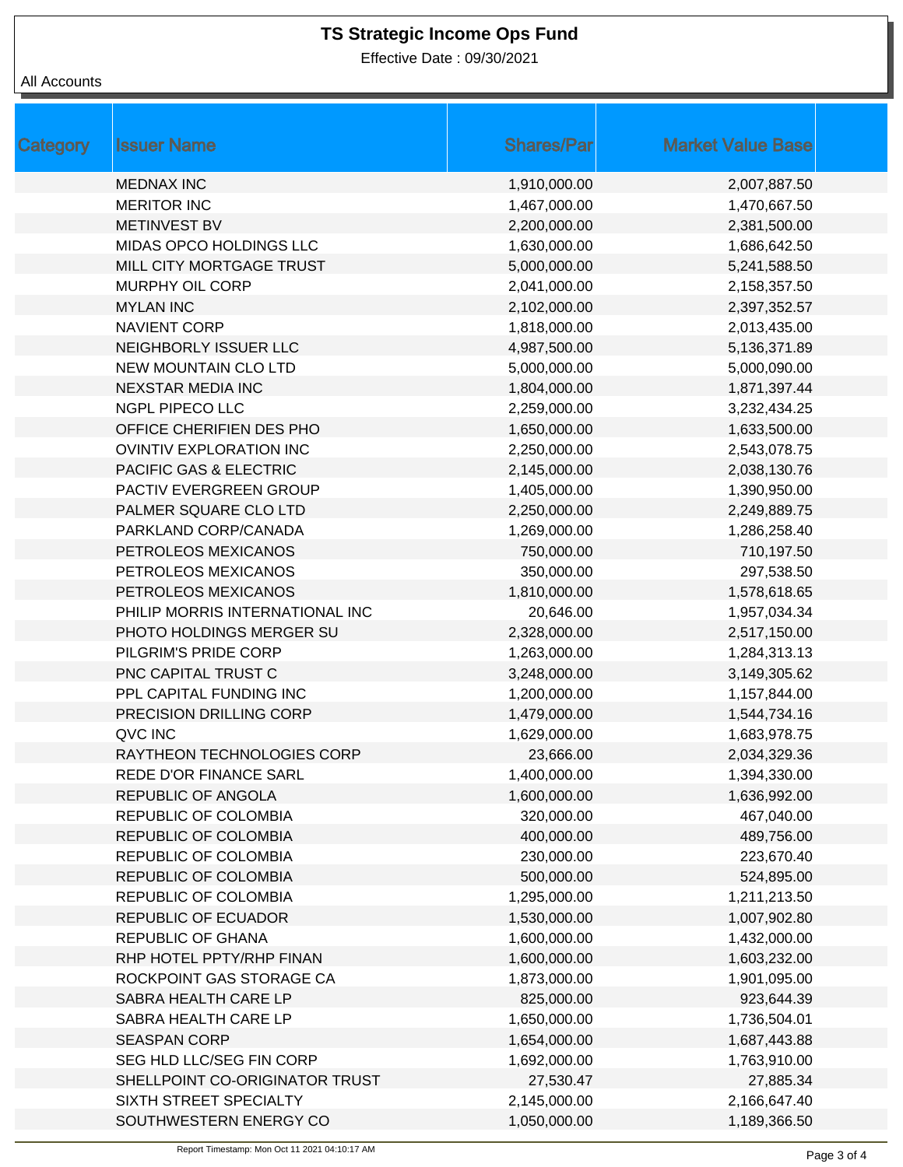Effective Date : 09/30/2021

| <b>Category</b> | <b>Issuer Name</b>              | <b>Shares/Par</b> | <b>Market Value Base</b> |
|-----------------|---------------------------------|-------------------|--------------------------|
|                 | <b>MEDNAX INC</b>               | 1,910,000.00      | 2,007,887.50             |
|                 | <b>MERITOR INC</b>              | 1,467,000.00      | 1,470,667.50             |
|                 | <b>METINVEST BV</b>             | 2,200,000.00      | 2,381,500.00             |
|                 | MIDAS OPCO HOLDINGS LLC         | 1,630,000.00      | 1,686,642.50             |
|                 | MILL CITY MORTGAGE TRUST        | 5,000,000.00      | 5,241,588.50             |
|                 | MURPHY OIL CORP                 | 2,041,000.00      | 2,158,357.50             |
|                 | <b>MYLAN INC</b>                | 2,102,000.00      | 2,397,352.57             |
|                 | <b>NAVIENT CORP</b>             | 1,818,000.00      | 2,013,435.00             |
|                 | NEIGHBORLY ISSUER LLC           | 4,987,500.00      | 5,136,371.89             |
|                 | <b>NEW MOUNTAIN CLO LTD</b>     | 5,000,000.00      | 5,000,090.00             |
|                 | <b>NEXSTAR MEDIA INC</b>        | 1,804,000.00      | 1,871,397.44             |
|                 | <b>NGPL PIPECO LLC</b>          | 2,259,000.00      | 3,232,434.25             |
|                 | OFFICE CHERIFIEN DES PHO        | 1,650,000.00      | 1,633,500.00             |
|                 | <b>OVINTIV EXPLORATION INC</b>  | 2,250,000.00      | 2,543,078.75             |
|                 | PACIFIC GAS & ELECTRIC          | 2,145,000.00      | 2,038,130.76             |
|                 | PACTIV EVERGREEN GROUP          | 1,405,000.00      | 1,390,950.00             |
|                 | PALMER SQUARE CLO LTD           | 2,250,000.00      | 2,249,889.75             |
|                 | PARKLAND CORP/CANADA            | 1,269,000.00      | 1,286,258.40             |
|                 | PETROLEOS MEXICANOS             | 750,000.00        | 710,197.50               |
|                 | PETROLEOS MEXICANOS             | 350,000.00        | 297,538.50               |
|                 | PETROLEOS MEXICANOS             | 1,810,000.00      | 1,578,618.65             |
|                 | PHILIP MORRIS INTERNATIONAL INC | 20,646.00         | 1,957,034.34             |
|                 | PHOTO HOLDINGS MERGER SU        | 2,328,000.00      | 2,517,150.00             |
|                 | PILGRIM'S PRIDE CORP            | 1,263,000.00      | 1,284,313.13             |
|                 | PNC CAPITAL TRUST C             | 3,248,000.00      | 3,149,305.62             |
|                 | PPL CAPITAL FUNDING INC         | 1,200,000.00      | 1,157,844.00             |
|                 | PRECISION DRILLING CORP         | 1,479,000.00      | 1,544,734.16             |
|                 | QVC INC                         | 1,629,000.00      | 1,683,978.75             |
|                 | RAYTHEON TECHNOLOGIES CORP      | 23,666.00         | 2,034,329.36             |
|                 | <b>REDE D'OR FINANCE SARL</b>   | 1,400,000.00      | 1,394,330.00             |
|                 | REPUBLIC OF ANGOLA              | 1,600,000.00      | 1,636,992.00             |
|                 | REPUBLIC OF COLOMBIA            | 320,000.00        | 467,040.00               |
|                 | REPUBLIC OF COLOMBIA            | 400,000.00        | 489,756.00               |
|                 | REPUBLIC OF COLOMBIA            | 230,000.00        | 223,670.40               |
|                 | REPUBLIC OF COLOMBIA            | 500,000.00        | 524,895.00               |
|                 | REPUBLIC OF COLOMBIA            | 1,295,000.00      | 1,211,213.50             |
|                 | REPUBLIC OF ECUADOR             | 1,530,000.00      | 1,007,902.80             |
|                 | <b>REPUBLIC OF GHANA</b>        | 1,600,000.00      | 1,432,000.00             |
|                 | RHP HOTEL PPTY/RHP FINAN        | 1,600,000.00      | 1,603,232.00             |
|                 | ROCKPOINT GAS STORAGE CA        | 1,873,000.00      | 1,901,095.00             |
|                 | SABRA HEALTH CARE LP            | 825,000.00        | 923,644.39               |
|                 | SABRA HEALTH CARE LP            | 1,650,000.00      | 1,736,504.01             |
|                 | <b>SEASPAN CORP</b>             | 1,654,000.00      | 1,687,443.88             |
|                 | SEG HLD LLC/SEG FIN CORP        | 1,692,000.00      | 1,763,910.00             |
|                 | SHELLPOINT CO-ORIGINATOR TRUST  | 27,530.47         | 27,885.34                |
|                 | SIXTH STREET SPECIALTY          | 2,145,000.00      | 2,166,647.40             |
|                 | SOUTHWESTERN ENERGY CO          | 1,050,000.00      | 1,189,366.50             |